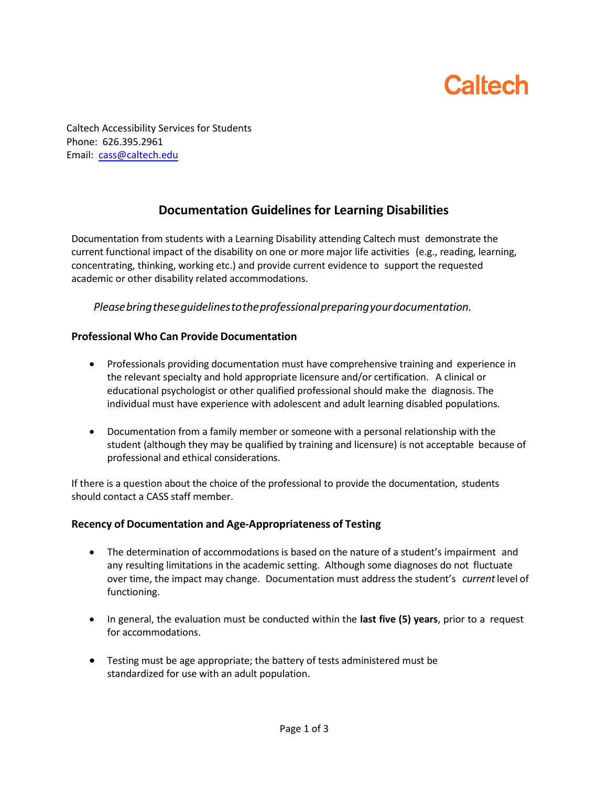# **Caltech**

Caltech Accessibility Services for Students Phone: 626.395.2961 Email: cass@caltech.edu

## **Documentation Guidelines for Learning Disabilities**

Documentation from students with a Learning Disability attending Caltech must demonstrate the current functional impact of the disability on one or more major life activities (e.g., reading, learning, concentrating, thinking, working etc.) and provide current evidence to support the requested academic or other disability related accommodations.

*Pleasebringtheseguidelinestotheprofessionalpreparingyourdocumentation.*

### **Professional Who Can Provide Documentation**

- Professionals providing documentation must have comprehensive training and experience in the relevant specialty and hold appropriate licensure and/or certification. A clinical or educational psychologist or other qualified professional should make the diagnosis. The individual must have experience with adolescent and adult learning disabled populations.
- Documentation from a family member or someone with a personal relationship with the student (although they may be qualified by training and licensure) is not acceptable because of professional and ethical considerations.

If there is a question about the choice of the professional to provide the documentation, students should contact a CASS staff member.

### **Recency of Documentation and Age-Appropriateness of Testing**

- The determination of accommodations is based on the nature of a student's impairment and any resulting limitations in the academic setting. Although some diagnoses do not fluctuate over time, the impact may change. Documentation must address the student's *current*level of functioning.
- In general, the evaluation must be conducted within the **last five (5) years**, prior to a request for accommodations.
- Testing must be age appropriate; the battery of tests administered must be standardized for use with an adult population.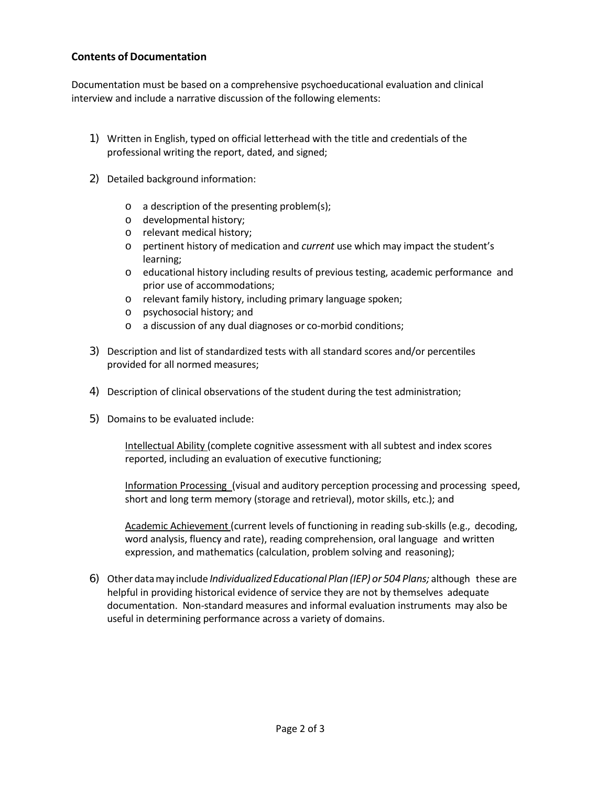#### **Contents of Documentation**

Documentation must be based on a comprehensive psychoeducational evaluation and clinical interview and include a narrative discussion of the following elements:

- 1) Written in English, typed on official letterhead with the title and credentials of the professional writing the report, dated, and signed;
- 2) Detailed background information:
	- o a description of the presenting problem(s);
	- o developmental history;
	- o relevant medical history;
	- o pertinent history of medication and *current* use which may impact the student's learning;
	- o educational history including results of previous testing, academic performance and prior use of accommodations;
	- o relevant family history, including primary language spoken;
	- o psychosocial history; and
	- o a discussion of any dual diagnoses or co-morbid conditions;
- 3) Description and list of standardized tests with all standard scores and/or percentiles provided for all normed measures;
- 4) Description of clinical observations of the student during the test administration;
- 5) Domains to be evaluated include:

Intellectual Ability (complete cognitive assessment with all subtest and index scores reported, including an evaluation of executive functioning;

Information Processing (visual and auditory perception processing and processing speed, short and long term memory (storage and retrieval), motor skills, etc.); and

Academic Achievement (current levels of functioning in reading sub-skills (e.g., decoding, word analysis, fluency and rate), reading comprehension, oral language and written expression, and mathematics (calculation, problem solving and reasoning);

6) Other datamay include *IndividualizedEducational Plan (IEP) or 504 Plans;* although these are helpful in providing historical evidence of service they are not by themselves adequate documentation. Non-standard measures and informal evaluation instruments may also be useful in determining performance across a variety of domains.